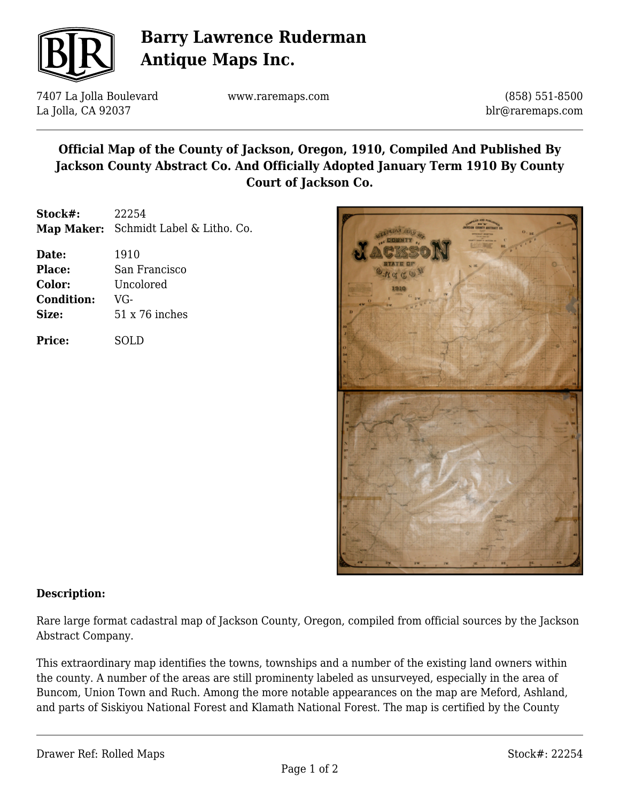

# **Barry Lawrence Ruderman Antique Maps Inc.**

7407 La Jolla Boulevard La Jolla, CA 92037

www.raremaps.com

(858) 551-8500 blr@raremaps.com

## **Official Map of the County of Jackson, Oregon, 1910, Compiled And Published By Jackson County Abstract Co. And Officially Adopted January Term 1910 By County Court of Jackson Co.**

**Stock#:** 22254 **Map Maker:** Schmidt Label & Litho. Co.

| Date:             | 1910                  |
|-------------------|-----------------------|
| <b>Place:</b>     | San Francisco         |
| Color:            | Uncolored             |
| <b>Condition:</b> | VG-                   |
| Size:             | $51 \times 76$ inches |
|                   |                       |

**Price:** SOLD



#### **Description:**

Rare large format cadastral map of Jackson County, Oregon, compiled from official sources by the Jackson Abstract Company.

This extraordinary map identifies the towns, townships and a number of the existing land owners within the county. A number of the areas are still prominenty labeled as unsurveyed, especially in the area of Buncom, Union Town and Ruch. Among the more notable appearances on the map are Meford, Ashland, and parts of Siskiyou National Forest and Klamath National Forest. The map is certified by the County